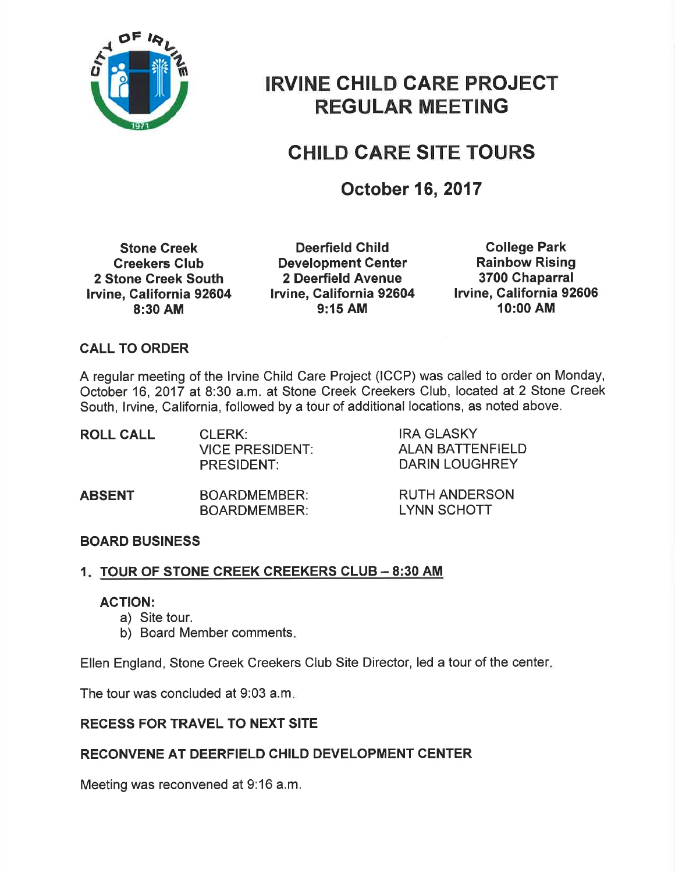

# IRVINE CHILD CARE PROJECT REGULAR MEETING

## CHILD GARE SITE TOURS

## October 16, 2017

Stone Creek Creekers Glub 2 Stone Greek South lrvine, California 92604 8:30 AM

Deerfield Child Development Center 2 Deerfield Avenue lruine, Galifornia 92604 9:15 AM

College Park Rainbow Rising 3700 Ghaparral lrvine, California 92606 10:00 AM

#### CALL TO ORDER

A regular meeting of the lrvine Child Care Project (ICCP) was called to order on Monday, October 16,2017 at 8:30 a.m. at Stone Creek Creekers Club, located at 2 Stone Creek South, lrvine, California, followed by a tour of additional locations, as noted above.

| <b>ROLL CALL</b> | CLERK:<br><b>VICE PRESIDENT:</b><br><b>PRESIDENT:</b> | <b>IRA GLASKY</b><br><b>ALAN BATTENFIELD</b><br>DARIN LOUGHREY |
|------------------|-------------------------------------------------------|----------------------------------------------------------------|
| ABSENT           | <b>BOARDMEMBER:</b><br><b>BOARDMEMBER:</b>            | <b>RUTH ANDERSON</b><br><b>LYNN SCHOTT</b>                     |

#### BOARD BUSINESS

### <u>1. TOUR OF STONE CREEK CREEKERS CLUB – 8:30 AM</u>

#### ACTION:

- a) Site tour.
- b) Board Member comments

Ellen England, Stone Creek Creekers Club Site Director, led a tour of the center

The tour was concluded at 9:03 a.m

#### RECESS FOR TRAVEL TO NEXT SITE

#### RECONVENE AT DEERFIELD CHILD DEVELOPMENT CENTER

Meeting was reconvened at 9:16 a.m.